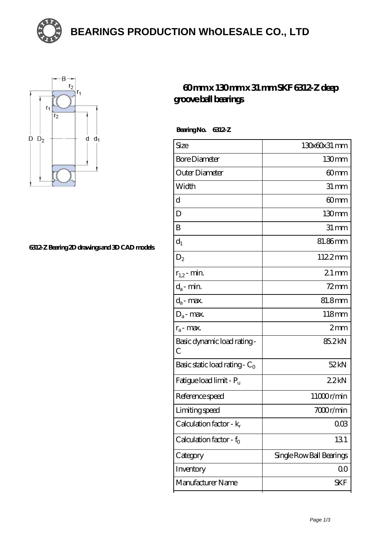**[BEARINGS PRODUCTION WhOLESALE CO., LTD](https://m.opjfd.com)**





## **[6312-Z Bearing 2D drawings and 3D CAD models](https://m.opjfd.com/pic-90348.html)**

## **[60 mm x 130 mm x 31 mm SKF 6312-Z deep](https://m.opjfd.com/bs-90348-skf-6312-z-deep-groove-ball-bearings.html) [groove ball bearings](https://m.opjfd.com/bs-90348-skf-6312-z-deep-groove-ball-bearings.html)**

 **Bearing No. 6312-Z**

| Size                                         | 130x60x31 mm             |
|----------------------------------------------|--------------------------|
| <b>Bore Diameter</b>                         | 130mm                    |
| Outer Diameter                               | 60mm                     |
| Width                                        | $31 \, \text{mm}$        |
| d                                            | 60mm                     |
| D                                            | $130 \text{mm}$          |
| B                                            | $31 \,\mathrm{mm}$       |
| $d_1$                                        | 81.86mm                  |
| $D_2$                                        | 1122mm                   |
| $r_{1,2}$ - min.                             | $21$ mm                  |
| $d_a$ - min.                                 | $72$ mm                  |
| $d_a$ - max.                                 | 81.8mm                   |
| $D_a$ - max.                                 | 118mm                    |
| $r_a$ - max.                                 | 2mm                      |
| Basic dynamic load rating -<br>$\mathcal{C}$ | 85.2kN                   |
| Basic static load rating - $C_0$             | 52kN                     |
| Fatigue load limit - Pu                      | 22kN                     |
| Reference speed                              | 11000r/min               |
| Limiting speed                               | 7000r/min                |
| Calculation factor - k <sub>r</sub>          | 003                      |
| Calculation factor - $f_0$                   | 131                      |
| Category                                     | Single Row Ball Bearings |
| Inventory                                    | QO                       |
| Manufacturer Name                            | SKF                      |
|                                              |                          |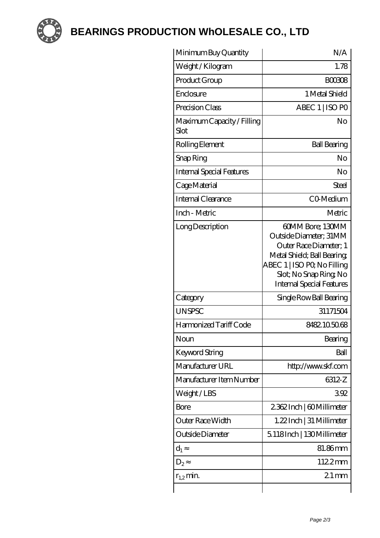

**[BEARINGS PRODUCTION WhOLESALE CO., LTD](https://m.opjfd.com)**

| Minimum Buy Quantity               | N/A                                                                                                                                                                                            |
|------------------------------------|------------------------------------------------------------------------------------------------------------------------------------------------------------------------------------------------|
| Weight / Kilogram                  | 1.78                                                                                                                                                                                           |
| Product Group                      | <b>BOO308</b>                                                                                                                                                                                  |
| Enclosure                          | 1 Metal Shield                                                                                                                                                                                 |
| Precision Class                    | ABEC 1   ISO PO                                                                                                                                                                                |
| Maximum Capacity / Filling<br>Slot | No                                                                                                                                                                                             |
| Rolling Element                    | <b>Ball Bearing</b>                                                                                                                                                                            |
| Snap Ring                          | No                                                                                                                                                                                             |
| Internal Special Features          | No                                                                                                                                                                                             |
| Cage Material                      | Steel                                                                                                                                                                                          |
| <b>Internal Clearance</b>          | CO-Medium                                                                                                                                                                                      |
| Inch - Metric                      | Metric                                                                                                                                                                                         |
| Long Description                   | 60MM Bore; 130MM<br>Outside Diameter; 31MM<br>Outer Race Diameter; 1<br>Metal Shield; Ball Bearing;<br>ABEC 1   ISO PQ No Filling<br>Slot; No Snap Ring No<br><b>Internal Special Features</b> |
| Category                           | Single Row Ball Bearing                                                                                                                                                                        |
| <b>UNSPSC</b>                      | 31171504                                                                                                                                                                                       |
| Harmonized Tariff Code             | 8482105068                                                                                                                                                                                     |
| Noun                               | Bearing                                                                                                                                                                                        |
| Keyword String                     | Ball                                                                                                                                                                                           |
| Manufacturer URL                   | http://www.skf.com                                                                                                                                                                             |
| Manufacturer Item Number           | 6312-Z                                                                                                                                                                                         |
| Weight/LBS                         | 392                                                                                                                                                                                            |
| Bore                               | 2362Inch   60Millimeter                                                                                                                                                                        |
| Outer Race Width                   | 1.22 Inch   31 Millimeter                                                                                                                                                                      |
| Outside Diameter                   | 5.118Inch   130Millimeter                                                                                                                                                                      |
| $d_1$                              | 81.86mm                                                                                                                                                                                        |
| $D_2$                              | 1122mm                                                                                                                                                                                         |
| $r_{1,2}$ min.                     | $21 \text{mm}$                                                                                                                                                                                 |
|                                    |                                                                                                                                                                                                |